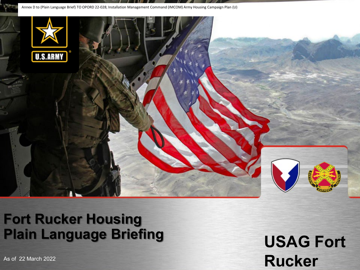Annex D to (Plain Language Brief) TO OPORD 22-028; Installation Management Command (IMCOM) Army Housing Campaign Plan (U)



#### **Fort Rucker Housing Plain Language Briefing**

**USAG Fort Rucker**

As of 22 March 2022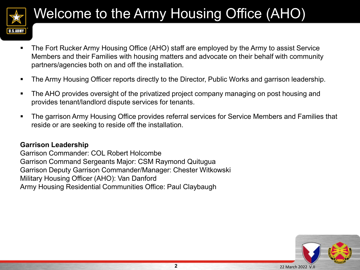

# Welcome to the Army Housing Office (AHO)

- The Fort Rucker Army Housing Office (AHO) staff are employed by the Army to assist Service Members and their Families with housing matters and advocate on their behalf with community partners/agencies both on and off the installation.
- **The Army Housing Officer reports directly to the Director, Public Works and garrison leadership.**
- The AHO provides oversight of the privatized project company managing on post housing and provides tenant/landlord dispute services for tenants.
- **The garrison Army Housing Office provides referral services for Service Members and Families that** reside or are seeking to reside off the installation.

#### **Garrison Leadership**

Garrison Commander: COL Robert Holcombe Garrison Command Sergeants Major: CSM Raymond Quitugua Garrison Deputy Garrison Commander/Manager: Chester Witkowski Military Housing Officer (AHO): Van Danford Army Housing Residential Communities Office: Paul Claybaugh

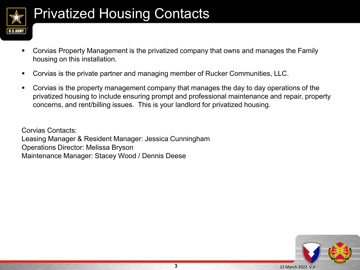

#### Privatized Housing Contacts

- Corvias Property Management is the privatized company that owns and manages the Family housing on this installation.
- Corvias is the private partner and managing member of Rucker Communities, LLC.
- Corvias is the property management company that manages the day to day operations of the privatized housing to include ensuring prompt and professional maintenance and repair, property concerns, and rent/billing issues. This is your landlord for privatized housing.

Corvias Contacts: Leasing Manager & Resident Manager: Jessica Cunningham Operations Director: Melissa Bryson Maintenance Manager: Stacey Wood / Dennis Deese

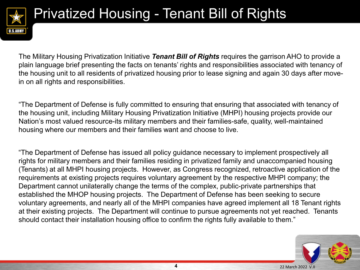

The Military Housing Privatization Initiative *Tenant Bill of Rights* requires the garrison AHO to provide a plain language brief presenting the facts on tenants' rights and responsibilities associated with tenancy of the housing unit to all residents of privatized housing prior to lease signing and again 30 days after movein on all rights and responsibilities.

"The Department of Defense is fully committed to ensuring that ensuring that associated with tenancy of the housing unit, including Military Housing Privatization Initiative (MHPI) housing projects provide our Nation's most valued resource-its military members and their families-safe, quality, well-maintained housing where our members and their families want and choose to live.

"The Department of Defense has issued all policy guidance necessary to implement prospectively all rights for military members and their families residing in privatized family and unaccompanied housing (Tenants) at all MHPI housing projects. However, as Congress recognized, retroactive application of the requirements at existing projects requires voluntary agreement by the respective MHPI company; the Department cannot unilaterally change the terms of the complex, public-private partnerships that established the MHOP housing projects. The Department of Defense has been seeking to secure voluntary agreements, and nearly all of the MHPI companies have agreed implement all 18 Tenant rights at their existing projects. The Department will continue to pursue agreements not yet reached. Tenants should contact their installation housing office to confirm the rights fully available to them."

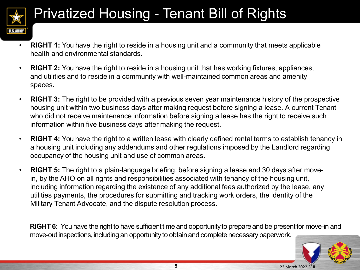

- **RIGHT 1:** You have the right to reside in a housing unit and a community that meets applicable health and environmental standards.
- **RIGHT 2:** You have the right to reside in a housing unit that has working fixtures, appliances, and utilities and to reside in a community with well-maintained common areas and amenity spaces.
- **RIGHT 3:** The right to be provided with a previous seven year maintenance history of the prospective housing unit within two business days after making request before signing a lease. A current Tenant who did not receive maintenance information before signing a lease has the right to receive such information within five business days after making the request.
- **RIGHT 4:** You have the right to a written lease with clearly defined rental terms to establish tenancy in a housing unit including any addendums and other regulations imposed by the Landlord regarding occupancy of the housing unit and use of common areas.
- **RIGHT 5:** The right to a plain-language briefing, before signing a lease and 30 days after movein, by the AHO on all rights and responsibilities associated with tenancy of the housing unit, including information regarding the existence of any additional fees authorized by the lease, any utilities payments, the procedures for submitting and tracking work orders, the identity of the Military Tenant Advocate, and the dispute resolution process.

**RIGHT 6**: You have the right to have sufficient time and opportunity to prepare and be present for move-in and move-out inspections, including an opportunity to obtain and complete necessary paperwork.

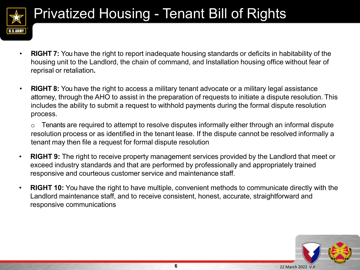

- **RIGHT 7:** You have the right to report inadequate housing standards or deficits in habitability of the housing unit to the Landlord, the chain of command, and Installation housing office without fear of reprisal or retaliation**.**
- **RIGHT 8:** You have the right to access a military tenant advocate or a military legal assistance attorney, through the AHO to assist in the preparation of requests to initiate a dispute resolution. This includes the ability to submit a request to withhold payments during the formal dispute resolution process.

 $\circ$  Tenants are required to attempt to resolve disputes informally either through an informal dispute resolution process or as identified in the tenant lease. If the dispute cannot be resolved informally a tenant may then file a request for formal dispute resolution

- **RIGHT 9:** The right to receive property management services provided by the Landlord that meet or exceed industry standards and that are performed by professionally and appropriately trained responsive and courteous customer service and maintenance staff.
- **RIGHT 10:** You have the right to have multiple, convenient methods to communicate directly with the Landlord maintenance staff, and to receive consistent, honest, accurate, straightforward and responsive communications

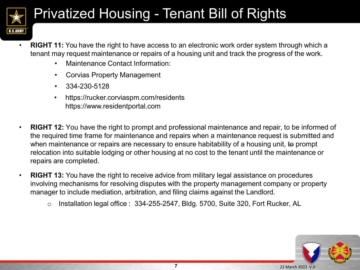

- **RIGHT 11:** You have the right to have access to an electronic work order system through which a tenant may request maintenance or repairs of a housing unit and track the progress of the work.
	- Maintenance Contact Information:
	- Corvias Property Management
	- 334-230-5128
	- https://rucker.corviaspm.com/residents https://www.residentportal.com
- **RIGHT 12:** You have the right to prompt and professional maintenance and repair, to be informed of the required time frame for maintenance and repairs when a maintenance request is submitted and when maintenance or repairs are necessary to ensure habitability of a housing unit, to prompt relocation into suitable lodging or other housing at no cost to the tenant until the maintenance or repairs are completed.
- **RIGHT 13:** You have the right to receive advice from military legal assistance on procedures involving mechanisms for resolving disputes with the property management company or property manager to include mediation, arbitration, and filing claims against the Landlord.
	- o Installation legal office : 334-255-2547, Bldg. 5700, Suite 320, Fort Rucker, AL

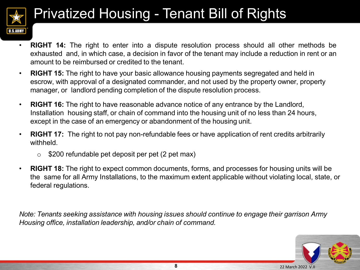

- **RIGHT 14:** The right to enter into a dispute resolution process should all other methods be exhausted and, in which case, a decision in favor of the tenant may include a reduction in rent or an amount to be reimbursed or credited to the tenant.
- **RIGHT 15:** The right to have your basic allowance housing payments segregated and held in escrow, with approval of a designated commander, and not used by the property owner, property manager, or landlord pending completion of the dispute resolution process.
- **RIGHT 16:** The right to have reasonable advance notice of any entrance by the Landlord, Installation housing staff, or chain of command into the housing unit of no less than 24 hours, except in the case of an emergency or abandonment of the housing unit.
- **RIGHT 17:** The right to not pay non-refundable fees or have application of rent credits arbitrarily withheld.
	- o \$200 refundable pet deposit per pet (2 pet max)
- **RIGHT 18:** The right to expect common documents, forms, and processes for housing units will be the same for all Army Installations, to the maximum extent applicable without violating local, state, or federal regulations.

*Note: Tenants seeking assistance with housing issues should continue to engage their garrison Army Housing office, installation leadership, and/or chain of command.*

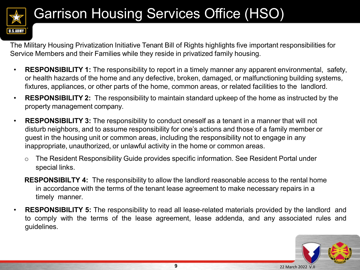

#### Garrison Housing Services Office (HSO)

The Military Housing Privatization Initiative Tenant Bill of Rights highlights five important responsibilities for Service Members and their Families while they reside in privatized family housing.

- **RESPONSIBILITY 1:** The responsibility to report in a timely manner any apparent environmental, safety, or health hazards of the home and any defective, broken, damaged, or malfunctioning building systems, fixtures, appliances, or other parts of the home, common areas, or related facilities to the landlord.
- **RESPONSIBILITY 2:** The responsibility to maintain standard upkeep of the home as instructed by the property management company.
- **RESPONSIBILITY 3:** The responsibility to conduct oneself as a tenant in a manner that will not disturb neighbors, and to assume responsibility for one's actions and those of a family member or guest in the housing unit or common areas, including the responsibility not to engage in any inappropriate, unauthorized, or unlawful activity in the home or common areas.
	- o The Resident Responsibility Guide provides specific information. See Resident Portal under special links.
	- **RESPONSIBILTY 4:** The responsibility to allow the landlord reasonable access to the rental home in accordance with the terms of the tenant lease agreement to make necessary repairs in a timely manner.
- **RESPONSIBILITY 5:** The responsibility to read all lease-related materials provided by the landlord and to comply with the terms of the lease agreement, lease addenda, and any associated rules and guidelines.

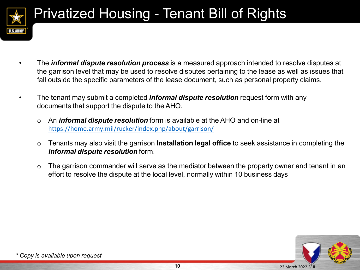

- The *informal dispute resolution process* is a measured approach intended to resolve disputes at the garrison level that may be used to resolve disputes pertaining to the lease as well as issues that fall outside the specific parameters of the lease document, such as personal property claims.
- The tenant may submit a completed *informal dispute resolution* request form with any documents that support the dispute to the AHO.
	- o An *informal dispute resolution* form is available at the AHO and on-line at <https://home.army.mil/rucker/index.php/about/garrison/>
	- o Tenants may also visit the garrison **Installation legal office** to seek assistance in completing the *informal dispute resolution* form.
	- $\circ$  The garrison commander will serve as the mediator between the property owner and tenant in an effort to resolve the dispute at the local level, normally within 10 business days

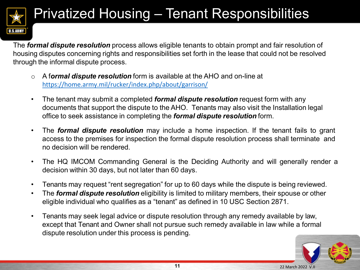

## Privatized Housing – Tenant Responsibilities

The *formal dispute resolution* process allows eligible tenants to obtain prompt and fair resolution of housing disputes concerning rights and responsibilities set forth in the lease that could not be resolved through the informal dispute process.

- o A f*ormal dispute resolution* form is available at the AHO and on-line at [https://home.army.mil/rucker/index.php/about/garrison/](https://home.army.mil/rucker/index.php/about/garrison)
- The tenant may submit a completed *formal dispute resolution* request form with any documents that support the dispute to the AHO. Tenants may also visit the Installation legal office to seek assistance in completing the *formal dispute resolution* form.
- The *formal dispute resolution* may include a home inspection. If the tenant fails to grant access to the premises for inspection the formal dispute resolution process shall terminate and no decision will be rendered.
- The HQ IMCOM Commanding General is the Deciding Authority and will generally render a decision within 30 days, but not later than 60 days.
- Tenants may request "rent segregation" for up to 60 days while the dispute is being reviewed.
- The *formal dispute resolution* eligibility is limited to military members, their spouse or other eligible individual who qualifies as a "tenant" as defined in 10 USC Section 2871.
- Tenants may seek legal advice or dispute resolution through any remedy available by law, except that Tenant and Owner shall not pursue such remedy available in law while a formal dispute resolution under this process is pending.

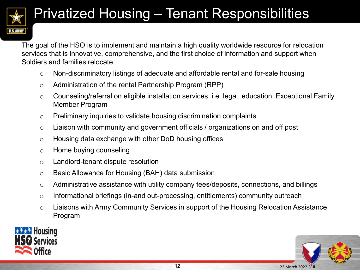

## Privatized Housing – Tenant Responsibilities

The goal of the HSO is to implement and maintain a high quality worldwide resource for relocation services that is innovative, comprehensive, and the first choice of information and support when Soldiers and families relocate.

- o Non-discriminatory listings of adequate and affordable rental and for-sale housing
- o Administration of the rental Partnership Program (RPP)
- o Counseling/referral on eligible installation services, i.e. legal, education, Exceptional Family Member Program
- o Preliminary inquiries to validate housing discrimination complaints
- o Liaison with community and government officials / organizations on and off post
- o Housing data exchange with other DoD housing offices
- o Home buying counseling
- o Landlord-tenant dispute resolution
- o Basic Allowance for Housing (BAH) data submission
- o Administrative assistance with utility company fees/deposits, connections, and billings
- o Informational briefings (in-and out-processing, entitlements) community outreach
- o Liaisons with Army Community Services in support of the Housing Relocation Assistance Program



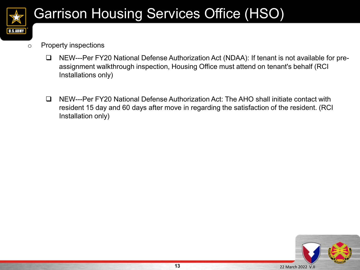

#### Garrison Housing Services Office (HSO)

- o Property inspections
	- □ NEW---Per FY20 National Defense Authorization Act (NDAA): If tenant is not available for preassignment walkthrough inspection, Housing Office must attend on tenant's behalf (RCI Installations only)
	- □ NEW---Per FY20 National Defense Authorization Act: The AHO shall initiate contact with resident 15 day and 60 days after move in regarding the satisfaction of the resident. (RCI Installation only)